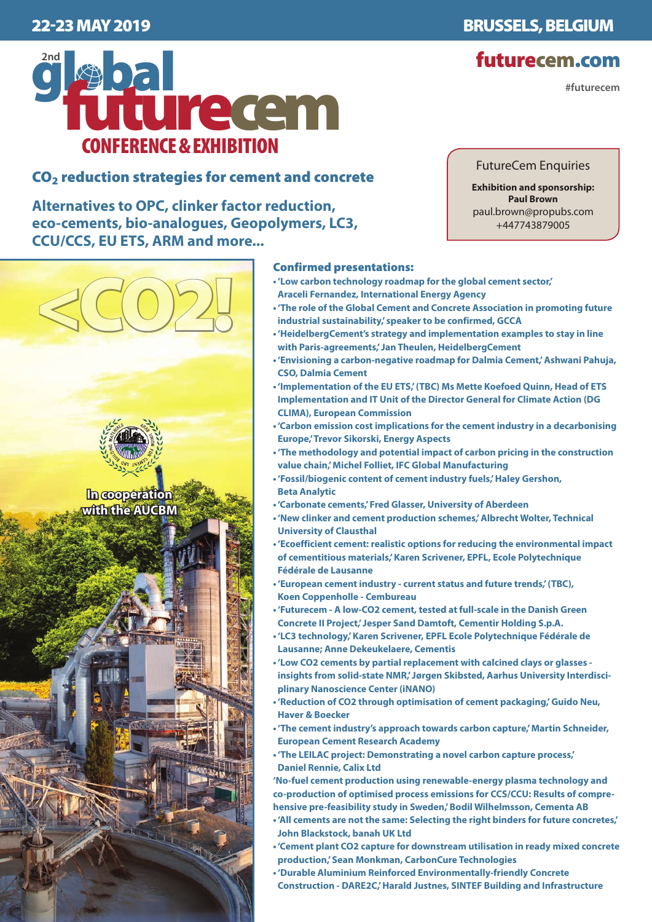

# CO2 reduction strategies for cement and concrete

**Alternatives to OPC, clinker factor reduction, eco-cements, bio-analogues, Geopolymers, LC3, CCU/CCS, EU ETS, ARM and more...**

<CO2!

**In cooperation with the AUCBM**

## Confirmed presentations:

- **'Low carbon technology roadmap for the global cement sector,' Araceli Fernandez, International Energy Agency**
- **'The role of the Global Cement and Concrete Association in promoting future industrial sustainability,' speaker to be confirmed, GCCA**
- **'HeidelbergCement's strategy and implementation examples to stay in line with Paris-agreements,' Jan Theulen, HeidelbergCement**
- **'Envisioning a carbon-negative roadmap for Dalmia Cement,' Ashwani Pahuja, CSO, Dalmia Cement**
- **'Implementation of the EU ETS,' (TBC) Ms Mette Koefoed Quinn, Head of ETS Implementation and IT Unit of the Director General for Climate Action (DG CLIMA), European Commission**
- **'Carbon emission cost implications for the cement industry in a decarbonising Europe,' Trevor Sikorski, Energy Aspects**
- **'The methodology and potential impact of carbon pricing in the construction value chain,' Michel Folliet, IFC Global Manufacturing**
- **'Fossil/biogenic content of cement industry fuels,' Haley Gershon, Beta Analytic**
- **'Carbonate cements,' Fred Glasser, University of Aberdeen**
- **'New clinker and cement production schemes,' Albrecht Wolter, Technical University of Clausthal**
- **'Ecoefficient cement: realistic options for reducing the environmental impact of cementitious materials,' Karen Scrivener, EPFL, Ecole Polytechnique Fédérale de Lausanne**
- **'European cement industry current status and future trends,' (TBC), Koen Coppenholle - Cembureau**
- **'Futurecem A low-CO2 cement, tested at full-scale in the Danish Green Concrete II Project,' Jesper Sand Damtoft, Cementir Holding S.p.A.**
- **'LC3 technology,' Karen Scrivener, EPFL Ecole Polytechnique Fédérale de Lausanne; Anne Dekeukelaere, Cementis**
- **'Low CO2 cements by partial replacement with calcined clays or glasses insights from solid-state NMR,' Jørgen Skibsted, Aarhus University Interdisciplinary Nanoscience Center (iNANO)**
- **'Reduction of CO2 through optimisation of cement packaging,' Guido Neu, Haver & Boecker**
- **'The cement industry's approach towards carbon capture,' Martin Schneider, European Cement Research Academy**
- **'The LEILAC project: Demonstrating a novel carbon capture process,' Daniel Rennie, Calix Ltd**

**'No-fuel cement production using renewable-energy plasma technology and co-production of optimised process emissions for CCS/CCU: Results of comprehensive pre-feasibility study in Sweden,' Bodil Wilhelmsson, Cementa AB**

- **'All cements are not the same: Selecting the right binders for future concretes,' John Blackstock, banah UK Ltd**
- **'Cement plant CO2 capture for downstream utilisation in ready mixed concrete production,' Sean Monkman, CarbonCure Technologies**
- **'Durable Aluminium Reinforced Environmentally-friendly Concrete Construction - DARE2C,' Harald Justnes, SINTEF Building and Infrastructure**

# FutureCem Enquiries

**Exhibition and sponsorship: Paul Brown** paul.brown@propubs.com +447743879005

22-23 MAY 2019 BRUSSELS, BELGIUM

# futurecem.com

 **#futurecem**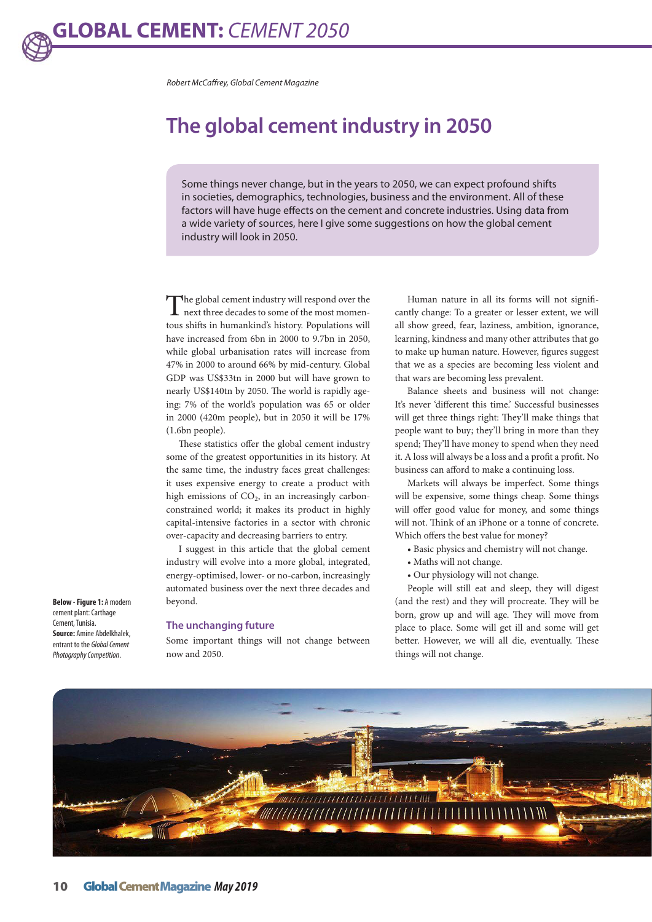*Robert McCaffrey, Global Cement Magazine*

# **The global cement industry in 2050**

Some things never change, but in the years to 2050, we can expect profound shifts in societies, demographics, technologies, business and the environment. All of these factors will have huge effects on the cement and concrete industries. Using data from a wide variety of sources, here I give some suggestions on how the global cement industry will look in 2050.

The global cement industry will respond over the next three decades to some of the most momentous shifts in humankind's history. Populations will have increased from 6bn in 2000 to 9.7bn in 2050, while global urbanisation rates will increase from 47% in 2000 to around 66% by mid-century. Global GDP was US\$33tn in 2000 but will have grown to nearly US\$140tn by 2050. The world is rapidly ageing: 7% of the world's population was 65 or older in 2000 (420m people), but in 2050 it will be 17% (1.6bn people).

These statistics offer the global cement industry some of the greatest opportunities in its history. At the same time, the industry faces great challenges: it uses expensive energy to create a product with high emissions of  $CO<sub>2</sub>$ , in an increasingly carbonconstrained world; it makes its product in highly capital-intensive factories in a sector with chronic over-capacity and decreasing barriers to entry.

I suggest in this article that the global cement industry will evolve into a more global, integrated, energy-optimised, lower- or no-carbon, increasingly automated business over the next three decades and beyond.

#### **The unchanging future**

Some important things will not change between now and 2050.

Human nature in all its forms will not significantly change: To a greater or lesser extent, we will all show greed, fear, laziness, ambition, ignorance, learning, kindness and many other attributes that go to make up human nature. However, figures suggest that we as a species are becoming less violent and that wars are becoming less prevalent.

Balance sheets and business will not change: It's never 'different this time.' Successful businesses will get three things right: They'll make things that people want to buy; they'll bring in more than they spend; They'll have money to spend when they need it. A loss will always be a loss and a profit a profit. No business can afford to make a continuing loss.

Markets will always be imperfect. Some things will be expensive, some things cheap. Some things will offer good value for money, and some things will not. Think of an iPhone or a tonne of concrete. Which offers the best value for money?

- Basic physics and chemistry will not change.
- Maths will not change.
- Our physiology will not change.

People will still eat and sleep, they will digest (and the rest) and they will procreate. They will be born, grow up and will age. They will move from place to place. Some will get ill and some will get better. However, we will all die, eventually. These things will not change.



**Below - Figure 1:** A modern cement plant: Carthage Cement, Tunisia. **Source:** Amine Abdelkhalek, entrant to the *Global Cement Photography Competition*.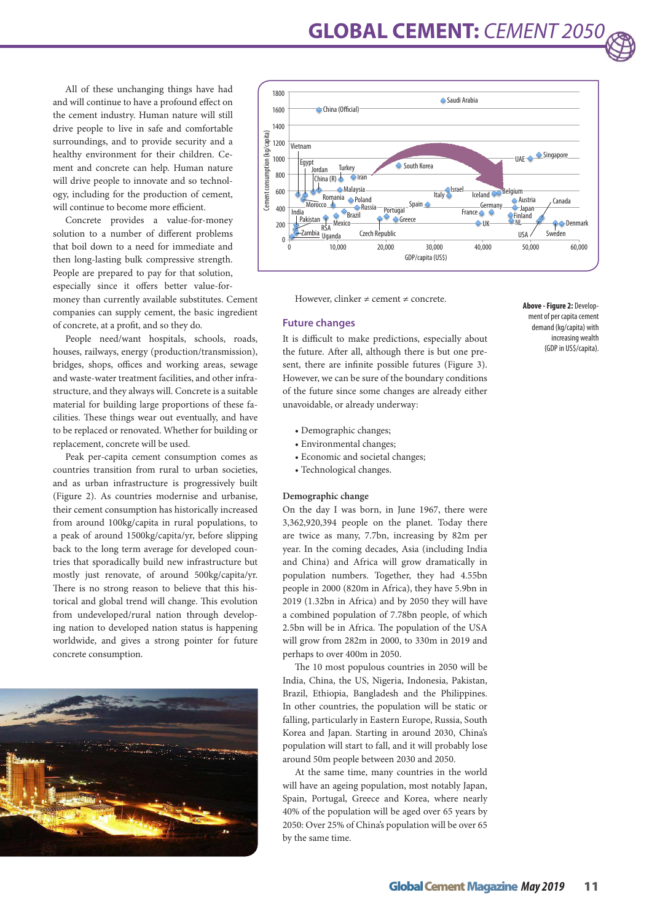**GLOBAL CEMENT:** *CEMENT 2050*

All of these unchanging things have had and will continue to have a profound effect on the cement industry. Human nature will still drive people to live in safe and comfortable surroundings, and to provide security and a healthy environment for their children. Cement and concrete can help. Human nature will drive people to innovate and so technology, including for the production of cement, will continue to become more efficient.

Concrete provides a value-for-money solution to a number of different problems that boil down to a need for immediate and then long-lasting bulk compressive strength. People are prepared to pay for that solution, especially since it offers better value-formoney than currently available substitutes. Cement companies can supply cement, the basic ingredient of concrete, at a profit, and so they do.

People need/want hospitals, schools, roads, houses, railways, energy (production/transmission), bridges, shops, offices and working areas, sewage and waste-water treatment facilities, and other infrastructure, and they always will. Concrete is a suitable material for building large proportions of these facilities. These things wear out eventually, and have to be replaced or renovated. Whether for building or replacement, concrete will be used.

Peak per-capita cement consumption comes as countries transition from rural to urban societies, and as urban infrastructure is progressively built (Figure 2). As countries modernise and urbanise, their cement consumption has historically increased from around 100kg/capita in rural populations, to a peak of around 1500kg/capita/yr, before slipping back to the long term average for developed countries that sporadically build new infrastructure but mostly just renovate, of around 500kg/capita/yr. There is no strong reason to believe that this historical and global trend will change. This evolution from undeveloped/rural nation through developing nation to developed nation status is happening worldwide, and gives a strong pointer for future concrete consumption.





However, clinker  $\neq$  cement  $\neq$  concrete.

#### **Future changes**

It is difficult to make predictions, especially about the future. After all, although there is but one present, there are infinite possible futures (Figure 3). However, we can be sure of the boundary conditions of the future since some changes are already either unavoidable, or already underway:

- Demographic changes;
- Environmental changes;
- Economic and societal changes;
- Technological changes.

### **Demographic change**

On the day I was born, in June 1967, there were 3,362,920,394 people on the planet. Today there are twice as many, 7.7bn, increasing by 82m per year. In the coming decades, Asia (including India and China) and Africa will grow dramatically in population numbers. Together, they had 4.55bn people in 2000 (820m in Africa), they have 5.9bn in 2019 (1.32bn in Africa) and by 2050 they will have a combined population of 7.78bn people, of which 2.5bn will be in Africa. The population of the USA will grow from 282m in 2000, to 330m in 2019 and perhaps to over 400m in 2050.

The 10 most populous countries in 2050 will be India, China, the US, Nigeria, Indonesia, Pakistan, Brazil, Ethiopia, Bangladesh and the Philippines. In other countries, the population will be static or falling, particularly in Eastern Europe, Russia, South Korea and Japan. Starting in around 2030, China's population will start to fall, and it will probably lose around 50m people between 2030 and 2050.

At the same time, many countries in the world will have an ageing population, most notably Japan, Spain, Portugal, Greece and Korea, where nearly 40% of the population will be aged over 65 years by 2050: Over 25% of China's population will be over 65 by the same time.

**Above - Figure 2:** Development of per capita cement demand (kg/capita) with increasing wealth (GDP in US\$/capita).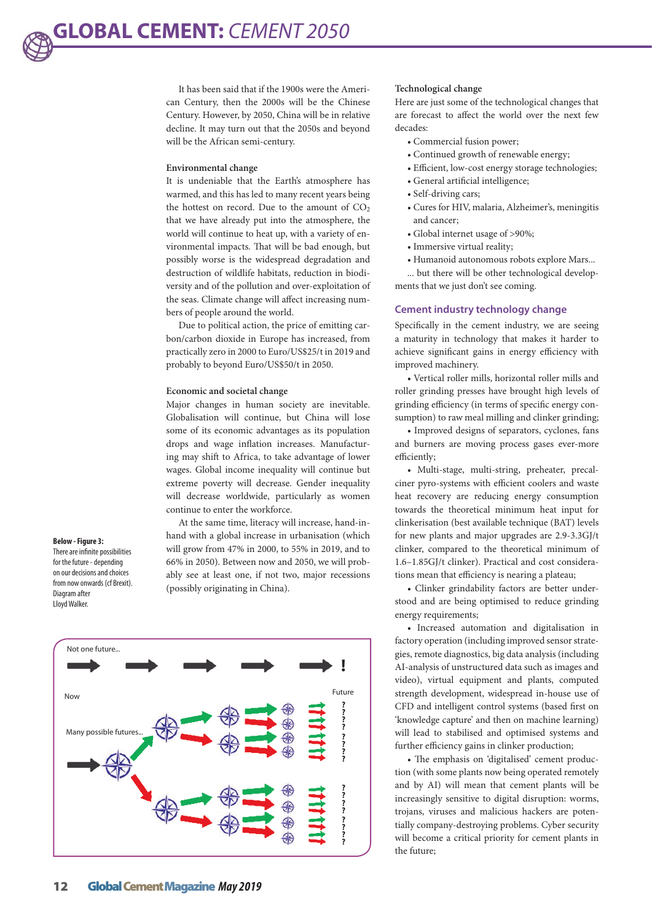It has been said that if the 1900s were the American Century, then the 2000s will be the Chinese Century. However, by 2050, China will be in relative decline. It may turn out that the 2050s and beyond will be the African semi-century.

#### **Environmental change**

It is undeniable that the Earth's atmosphere has warmed, and this has led to many recent years being the hottest on record. Due to the amount of  $CO<sub>2</sub>$ that we have already put into the atmosphere, the world will continue to heat up, with a variety of environmental impacts. That will be bad enough, but possibly worse is the widespread degradation and destruction of wildlife habitats, reduction in biodiversity and of the pollution and over-exploitation of the seas. Climate change will affect increasing numbers of people around the world.

Due to political action, the price of emitting carbon/carbon dioxide in Europe has increased, from practically zero in 2000 to Euro/US\$25/t in 2019 and probably to beyond Euro/US\$50/t in 2050.

#### **Economic and societal change**

Major changes in human society are inevitable. Globalisation will continue, but China will lose some of its economic advantages as its population drops and wage inflation increases. Manufacturing may shift to Africa, to take advantage of lower wages. Global income inequality will continue but extreme poverty will decrease. Gender inequality will decrease worldwide, particularly as women continue to enter the workforce.

At the same time, literacy will increase, hand-inhand with a global increase in urbanisation (which will grow from 47% in 2000, to 55% in 2019, and to 66% in 2050). Between now and 2050, we will probably see at least one, if not two, major recessions (possibly originating in China).



Lloyd Walker.



#### **Technological change**

Here are just some of the technological changes that are forecast to affect the world over the next few decades:

- Commercial fusion power;
- Continued growth of renewable energy;
- Efficient, low-cost energy storage technologies;
- General artificial intelligence;
- Self-driving cars;
- Cures for HIV, malaria, Alzheimer's, meningitis and cancer;
- Global internet usage of >90%;
- Immersive virtual reality;
- Humanoid autonomous robots explore Mars...

... but there will be other technological developments that we just don't see coming.

#### **Cement industry technology change**

Specifically in the cement industry, we are seeing a maturity in technology that makes it harder to achieve significant gains in energy efficiency with improved machinery.

• Vertical roller mills, horizontal roller mills and roller grinding presses have brought high levels of grinding efficiency (in terms of specific energy consumption) to raw meal milling and clinker grinding;

• Improved designs of separators, cyclones, fans and burners are moving process gases ever-more efficiently;

• Multi-stage, multi-string, preheater, precalciner pyro-systems with efficient coolers and waste heat recovery are reducing energy consumption towards the theoretical minimum heat input for clinkerisation (best available technique (BAT) levels for new plants and major upgrades are 2.9-3.3GJ/t clinker, compared to the theoretical minimum of 1.6–1.85GJ/t clinker). Practical and cost considerations mean that efficiency is nearing a plateau;

• Clinker grindability factors are better understood and are being optimised to reduce grinding energy requirements;

• Increased automation and digitalisation in factory operation (including improved sensor strategies, remote diagnostics, big data analysis (including AI-analysis of unstructured data such as images and video), virtual equipment and plants, computed strength development, widespread in-house use of CFD and intelligent control systems (based first on 'knowledge capture' and then on machine learning) will lead to stabilised and optimised systems and further efficiency gains in clinker production;

• The emphasis on 'digitalised' cement production (with some plants now being operated remotely and by AI) will mean that cement plants will be increasingly sensitive to digital disruption: worms, trojans, viruses and malicious hackers are potentially company-destroying problems. Cyber security will become a critical priority for cement plants in the future;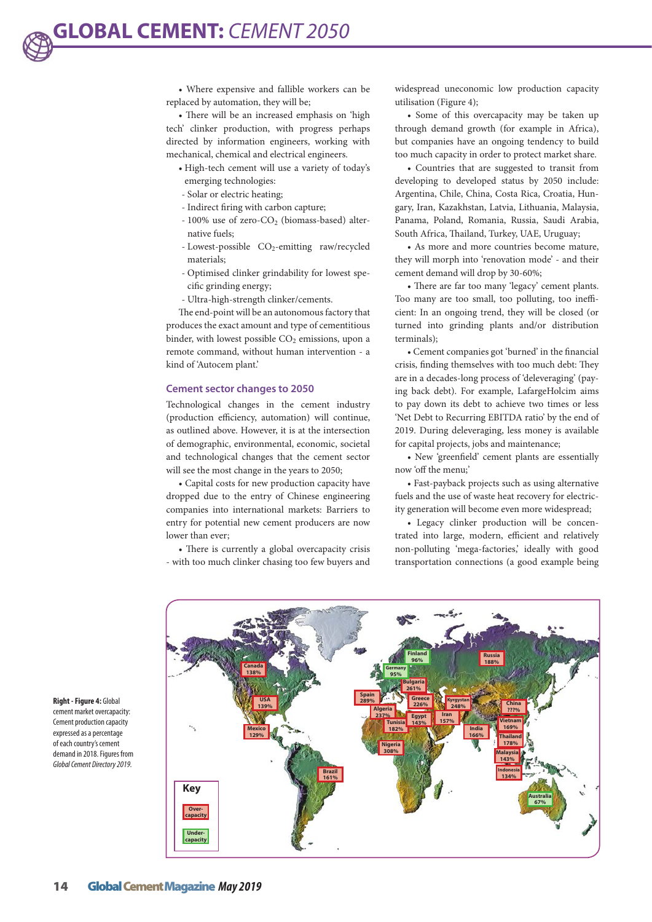• Where expensive and fallible workers can be replaced by automation, they will be;

• There will be an increased emphasis on 'high tech' clinker production, with progress perhaps directed by information engineers, working with mechanical, chemical and electrical engineers.

- High-tech cement will use a variety of today's emerging technologies:
- Solar or electric heating;
- Indirect firing with carbon capture;
- $-100\%$  use of zero-CO<sub>2</sub> (biomass-based) alternative fuels;
- Lowest-possible CO<sub>2</sub>-emitting raw/recycled materials;
- Optimised clinker grindability for lowest specific grinding energy;
- Ultra-high-strength clinker/cements.

The end-point will be an autonomous factory that produces the exact amount and type of cementitious binder, with lowest possible  $CO<sub>2</sub>$  emissions, upon a remote command, without human intervention - a kind of 'Autocem plant.'

#### **Cement sector changes to 2050**

Technological changes in the cement industry (production efficiency, automation) will continue, as outlined above. However, it is at the intersection of demographic, environmental, economic, societal and technological changes that the cement sector will see the most change in the years to 2050;

• Capital costs for new production capacity have dropped due to the entry of Chinese engineering companies into international markets: Barriers to entry for potential new cement producers are now lower than ever;

• There is currently a global overcapacity crisis - with too much clinker chasing too few buyers and

widespread uneconomic low production capacity utilisation (Figure 4);

• Some of this overcapacity may be taken up through demand growth (for example in Africa), but companies have an ongoing tendency to build too much capacity in order to protect market share.

• Countries that are suggested to transit from developing to developed status by 2050 include: Argentina, Chile, China, Costa Rica, Croatia, Hungary, Iran, Kazakhstan, Latvia, Lithuania, Malaysia, Panama, Poland, Romania, Russia, Saudi Arabia, South Africa, Thailand, Turkey, UAE, Uruguay;

• As more and more countries become mature, they will morph into 'renovation mode' - and their cement demand will drop by 30-60%;

• There are far too many 'legacy' cement plants. Too many are too small, too polluting, too inefficient: In an ongoing trend, they will be closed (or turned into grinding plants and/or distribution terminals);

• Cement companies got 'burned' in the financial crisis, finding themselves with too much debt: They are in a decades-long process of 'deleveraging' (paying back debt). For example, LafargeHolcim aims to pay down its debt to achieve two times or less 'Net Debt to Recurring EBITDA ratio' by the end of 2019. During deleveraging, less money is available for capital projects, jobs and maintenance;

• New 'greenfield' cement plants are essentially now 'off the menu;'

• Fast-payback projects such as using alternative fuels and the use of waste heat recovery for electricity generation will become even more widespread;

• Legacy clinker production will be concentrated into large, modern, efficient and relatively non-polluting 'mega-factories,' ideally with good transportation connections (a good example being



**Right - Figure 4:** Global cement market overcapacity: Cement production capacity expressed as a percentage of each country's cement demand in 2018. Figures from *Global Cement Directory 2019.*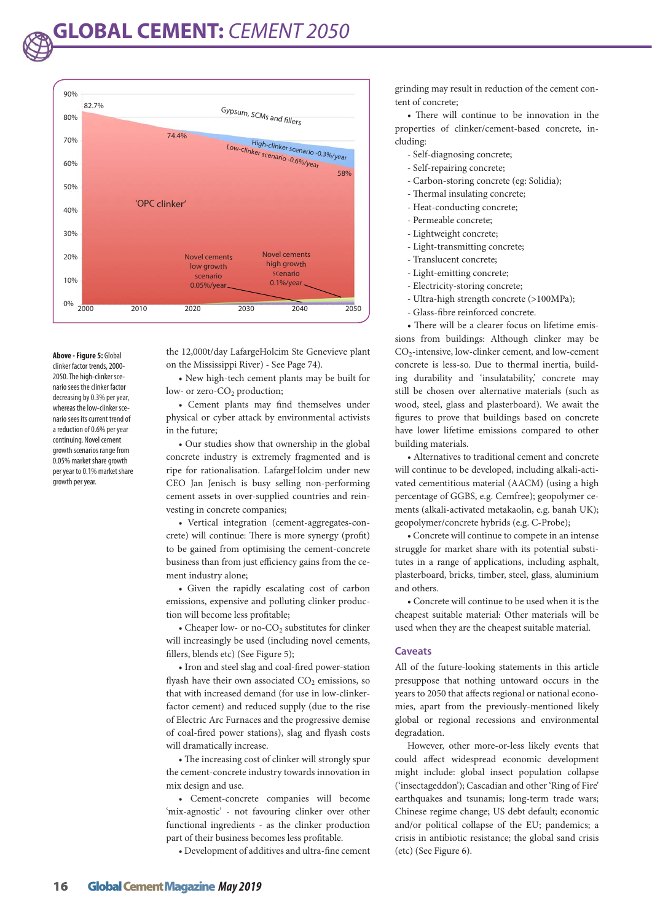

**Above - Figure 5:** Global clinker factor trends, 2000- 2050. The high-clinker scenario sees the clinker factor decreasing by 0.3% per year, whereas the low-clinker scenario sees its current trend of a reduction of 0.6% per year continuing. Novel cement growth scenarios range from 0.05% market share growth per year to 0.1% market share growth per year.

the 12,000t/day LafargeHolcim Ste Genevieve plant on the Mississippi River) - See Page 74).

• New high-tech cement plants may be built for low- or zero-CO<sub>2</sub> production;

• Cement plants may find themselves under physical or cyber attack by environmental activists in the future;

• Our studies show that ownership in the global concrete industry is extremely fragmented and is ripe for rationalisation. LafargeHolcim under new CEO Jan Jenisch is busy selling non-performing cement assets in over-supplied countries and reinvesting in concrete companies;

• Vertical integration (cement-aggregates-concrete) will continue: There is more synergy (profit) to be gained from optimising the cement-concrete business than from just efficiency gains from the cement industry alone;

• Given the rapidly escalating cost of carbon emissions, expensive and polluting clinker production will become less profitable;

• Cheaper low- or no- $CO<sub>2</sub>$  substitutes for clinker will increasingly be used (including novel cements, fillers, blends etc) (See Figure 5);

• Iron and steel slag and coal-fired power-station flyash have their own associated  $CO<sub>2</sub>$  emissions, so that with increased demand (for use in low-clinkerfactor cement) and reduced supply (due to the rise of Electric Arc Furnaces and the progressive demise of coal-fired power stations), slag and flyash costs will dramatically increase.

• The increasing cost of clinker will strongly spur the cement-concrete industry towards innovation in mix design and use.

• Cement-concrete companies will become 'mix-agnostic' - not favouring clinker over other functional ingredients - as the clinker production part of their business becomes less profitable.

• Development of additives and ultra-fine cement

grinding may result in reduction of the cement content of concrete;

• There will continue to be innovation in the properties of clinker/cement-based concrete, including:

- Self-diagnosing concrete;
- Self-repairing concrete;
- Carbon-storing concrete (eg: Solidia);
- Thermal insulating concrete;
- Heat-conducting concrete;
- Permeable concrete;
- Lightweight concrete;
- Light-transmitting concrete;
- Translucent concrete;
- Light-emitting concrete;
- Electricity-storing concrete;
- Ultra-high strength concrete (>100MPa);
- Glass-fibre reinforced concrete.

• There will be a clearer focus on lifetime emissions from buildings: Although clinker may be CO2-intensive, low-clinker cement, and low-cement concrete is less-so. Due to thermal inertia, building durability and 'insulatability,' concrete may still be chosen over alternative materials (such as wood, steel, glass and plasterboard). We await the figures to prove that buildings based on concrete have lower lifetime emissions compared to other building materials.

• Alternatives to traditional cement and concrete will continue to be developed, including alkali-activated cementitious material (AACM) (using a high percentage of GGBS, e.g. Cemfree); geopolymer cements (alkali-activated metakaolin, e.g. banah UK); geopolymer/concrete hybrids (e.g. C-Probe);

• Concrete will continue to compete in an intense struggle for market share with its potential substitutes in a range of applications, including asphalt, plasterboard, bricks, timber, steel, glass, aluminium and others.

• Concrete will continue to be used when it is the cheapest suitable material: Other materials will be used when they are the cheapest suitable material.

## **Caveats**

All of the future-looking statements in this article presuppose that nothing untoward occurs in the years to 2050 that affects regional or national economies, apart from the previously-mentioned likely global or regional recessions and environmental degradation.

However, other more-or-less likely events that could affect widespread economic development might include: global insect population collapse ('insectageddon'); Cascadian and other 'Ring of Fire' earthquakes and tsunamis; long-term trade wars; Chinese regime change; US debt default; economic and/or political collapse of the EU; pandemics; a crisis in antibiotic resistance; the global sand crisis (etc) (See Figure 6).